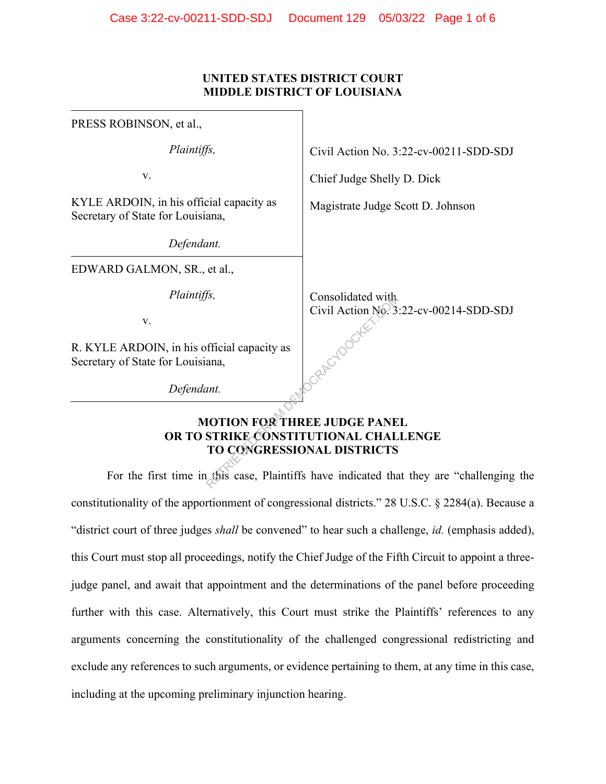### **UNITED STATES DISTRICT COURT MIDDLE DISTRICT OF LOUISIANA**

| PRESS ROBINSON, et al.,                                                                                    |                                                             |
|------------------------------------------------------------------------------------------------------------|-------------------------------------------------------------|
| Plaintiffs,                                                                                                | Civil Action No. 3:22-cv-00211-SDD-SDJ                      |
| V.                                                                                                         | Chief Judge Shelly D. Dick                                  |
| KYLE ARDOIN, in his official capacity as<br>Secretary of State for Louisiana,                              | Magistrate Judge Scott D. Johnson                           |
| Defendant.                                                                                                 |                                                             |
| EDWARD GALMON, SR., et al.,                                                                                |                                                             |
| Plaintiffs,                                                                                                | Consolidated with<br>Civil Action No. 3:22-cv-00214-SDD-SDJ |
| V.                                                                                                         |                                                             |
| R. KYLE ARDOIN, in his official capacity as<br>Secretary of State for Louisiana,                           |                                                             |
| Defendant.                                                                                                 |                                                             |
| <b>MOTION FOR THREE JUDGE PANEL</b><br>OR TO STRIKE CONSTITUTIONAL CHALLENGE<br>TO CONGRESSIONAL DISTRICTS |                                                             |
| For the first time in this case, Plaintiffs have indicated that they are "challenging                      |                                                             |

### **MOTION FOR THREE JUDGE PANEL OR TO STRIKE CONSTITUTIONAL CHALLENGE TO CONGRESSIONAL DISTRICTS**

For the first time in this case, Plaintiffs have indicated that they are "challenging the constitutionality of the apportionment of congressional districts." 28 U.S.C. § 2284(a). Because a "district court of three judges *shall* be convened" to hear such a challenge, *id.* (emphasis added), this Court must stop all proceedings, notify the Chief Judge of the Fifth Circuit to appoint a threejudge panel, and await that appointment and the determinations of the panel before proceeding further with this case. Alternatively, this Court must strike the Plaintiffs' references to any arguments concerning the constitutionality of the challenged congressional redistricting and exclude any references to such arguments, or evidence pertaining to them, at any time in this case, including at the upcoming preliminary injunction hearing.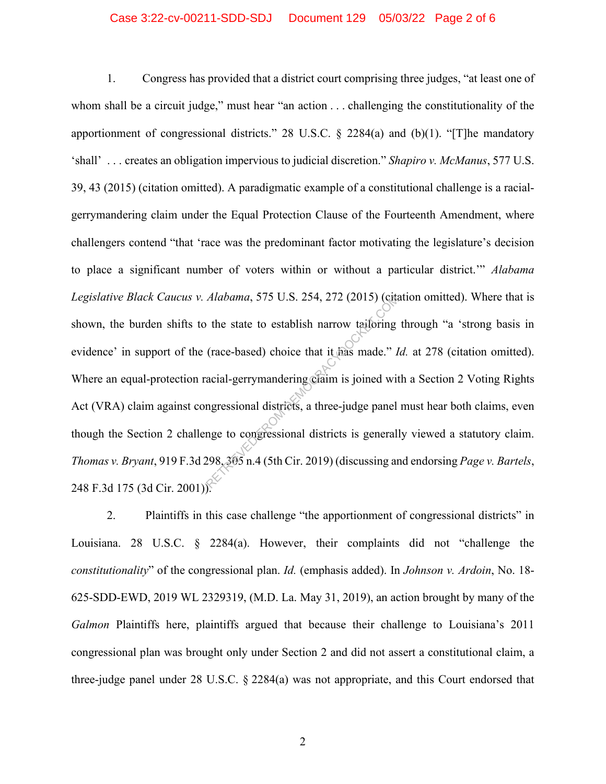### Case 3:22-cv-00211-SDD-SDJ Document 129 05/03/22 Page 2 of 6

1. Congress has provided that a district court comprising three judges, "at least one of whom shall be a circuit judge," must hear "an action . . . challenging the constitutionality of the apportionment of congressional districts." 28 U.S.C.  $\S$  2284(a) and (b)(1). "[T]he mandatory 'shall' . . . creates an obligation impervious to judicial discretion." *Shapiro v. McManus*, 577 U.S. 39, 43 (2015) (citation omitted). A paradigmatic example of a constitutional challenge is a racialgerrymandering claim under the Equal Protection Clause of the Fourteenth Amendment, where challengers contend "that 'race was the predominant factor motivating the legislature's decision to place a significant number of voters within or without a particular district.'" *Alabama Legislative Black Caucus v. Alabama*, 575 U.S. 254, 272 (2015) (citation omitted). Where that is shown, the burden shifts to the state to establish narrow tailoring through "a 'strong basis in evidence' in support of the (race-based) choice that it has made." *Id.* at 278 (citation omitted). Where an equal-protection racial-gerrymandering claim is joined with a Section 2 Voting Rights Act (VRA) claim against congressional districts, a three-judge panel must hear both claims, even though the Section 2 challenge to congressional districts is generally viewed a statutory claim. *Thomas v. Bryant*, 919 F.3d 298, 305 n.4 (5th Cir. 2019) (discussing and endorsing *Page v. Bartels*, 248 F.3d 175 (3d Cir. 2001)). Alabama, 575 U.S. 254, 272 (2015) (cita)<br>
the state to establish narrow tailoring<br>
(race-based) choice that it has made." I<br>
acial-gerrymandering claim is joined with<br>
ngressional districts, a three-judge panel<br>
nge to co

2. Plaintiffs in this case challenge "the apportionment of congressional districts" in Louisiana. 28 U.S.C. § 2284(a). However, their complaints did not "challenge the *constitutionality*" of the congressional plan. *Id.* (emphasis added). In *Johnson v. Ardoin*, No. 18- 625-SDD-EWD, 2019 WL 2329319, (M.D. La. May 31, 2019), an action brought by many of the *Galmon* Plaintiffs here, plaintiffs argued that because their challenge to Louisiana's 2011 congressional plan was brought only under Section 2 and did not assert a constitutional claim, a three-judge panel under 28 U.S.C. § 2284(a) was not appropriate, and this Court endorsed that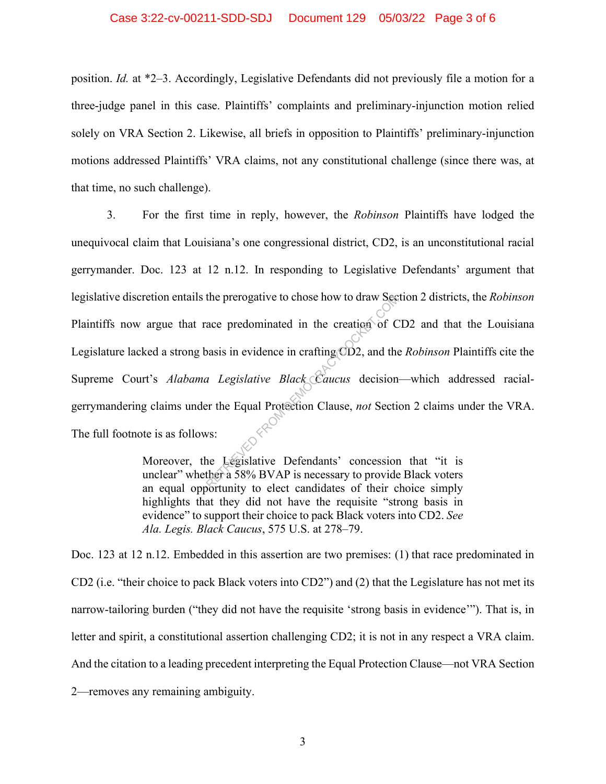### Case 3:22-cv-00211-SDD-SDJ Document 129 05/03/22 Page 3 of 6

position. *Id.* at \*2–3. Accordingly, Legislative Defendants did not previously file a motion for a three-judge panel in this case. Plaintiffs' complaints and preliminary-injunction motion relied solely on VRA Section 2. Likewise, all briefs in opposition to Plaintiffs' preliminary-injunction motions addressed Plaintiffs' VRA claims, not any constitutional challenge (since there was, at that time, no such challenge).

3. For the first time in reply, however, the *Robinson* Plaintiffs have lodged the unequivocal claim that Louisiana's one congressional district, CD2, is an unconstitutional racial gerrymander. Doc. 123 at 12 n.12. In responding to Legislative Defendants' argument that legislative discretion entails the prerogative to chose how to draw Section 2 districts, the *Robinson* Plaintiffs now argue that race predominated in the creation of CD2 and that the Louisiana Legislature lacked a strong basis in evidence in crafting CD2, and the *Robinson* Plaintiffs cite the Supreme Court's *Alabama Legislative Black Caucus* decision—which addressed racialgerrymandering claims under the Equal Protection Clause, *not* Section 2 claims under the VRA. The full footnote is as follows: the prerogative to chose how to draw See<br>ace predominated in the creation of C<br>pasis in evidence in crafting CD2, and the<br>*a Legislative Black Caucus* decision<br>er the Equal Protection Clause, *not* Section<br>ws:<br>there a 58%

Moreover, the Legislative Defendants' concession that "it is unclear" whether a 58% BVAP is necessary to provide Black voters an equal opportunity to elect candidates of their choice simply highlights that they did not have the requisite "strong basis in evidence" to support their choice to pack Black voters into CD2. *See Ala. Legis. Black Caucus*, 575 U.S. at 278–79.

Doc. 123 at 12 n.12. Embedded in this assertion are two premises: (1) that race predominated in CD2 (i.e. "their choice to pack Black voters into CD2") and (2) that the Legislature has not met its narrow-tailoring burden ("they did not have the requisite 'strong basis in evidence'"). That is, in letter and spirit, a constitutional assertion challenging CD2; it is not in any respect a VRA claim. And the citation to a leading precedent interpreting the Equal Protection Clause—not VRA Section 2—removes any remaining ambiguity.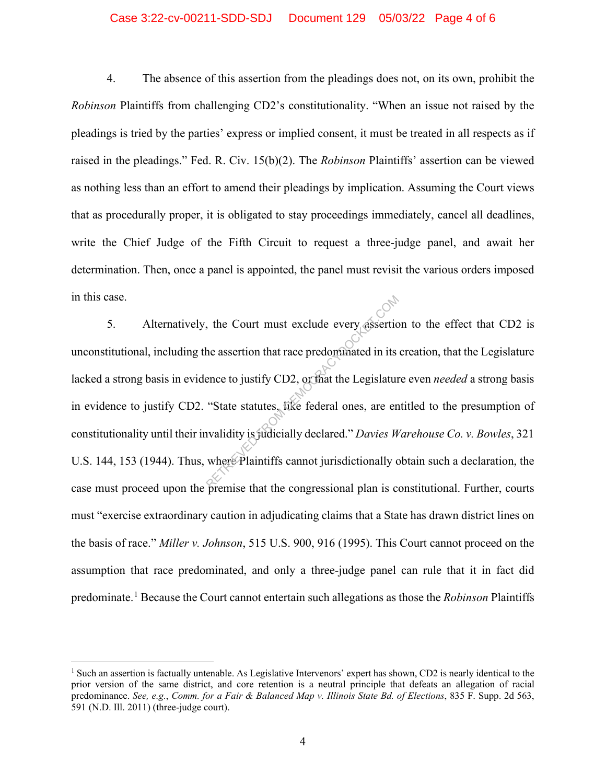### Case 3:22-cv-00211-SDD-SDJ Document 129 05/03/22 Page 4 of 6

4. The absence of this assertion from the pleadings does not, on its own, prohibit the *Robinson* Plaintiffs from challenging CD2's constitutionality. "When an issue not raised by the pleadings is tried by the parties' express or implied consent, it must be treated in all respects as if raised in the pleadings." Fed. R. Civ. 15(b)(2). The *Robinson* Plaintiffs' assertion can be viewed as nothing less than an effort to amend their pleadings by implication. Assuming the Court views that as procedurally proper, it is obligated to stay proceedings immediately, cancel all deadlines, write the Chief Judge of the Fifth Circuit to request a three-judge panel, and await her determination. Then, once a panel is appointed, the panel must revisit the various orders imposed in this case.

5. Alternatively, the Court must exclude every assertion to the effect that CD2 is unconstitutional, including the assertion that race predominated in its creation, that the Legislature lacked a strong basis in evidence to justify CD2, or that the Legislature even *needed* a strong basis in evidence to justify CD2. "State statutes, like federal ones, are entitled to the presumption of constitutionality until their invalidity is judicially declared." *Davies Warehouse Co. v. Bowles*, 321 U.S. 144, 153 (1944). Thus, where Plaintiffs cannot jurisdictionally obtain such a declaration, the case must proceed upon the premise that the congressional plan is constitutional. Further, courts must "exercise extraordinary caution in adjudicating claims that a State has drawn district lines on the basis of race." *Miller v. Johnson*, 515 U.S. 900, 916 (1995). This Court cannot proceed on the assumption that race predominated, and only a three-judge panel can rule that it in fact did predominate.<sup>1</sup> Because the Court cannot entertain such allegations as those the *Robinson* Plaintiffs the Court must exclude every assertice.<br>
the assertion that race predominated in its<br>
ence to justify CD2, or that the Legislature<br>
"State statutes, like federal ones, are envalidity is judicially declared." Davies  $W$ <br>
w

<sup>&</sup>lt;sup>1</sup> Such an assertion is factually untenable. As Legislative Intervenors' expert has shown, CD2 is nearly identical to the prior version of the same district, and core retention is a neutral principle that defeats an allegation of racial predominance. *See, e.g.*, *Comm. for a Fair & Balanced Map v. Illinois State Bd. of Elections*, 835 F. Supp. 2d 563, 591 (N.D. Ill. 2011) (three-judge court).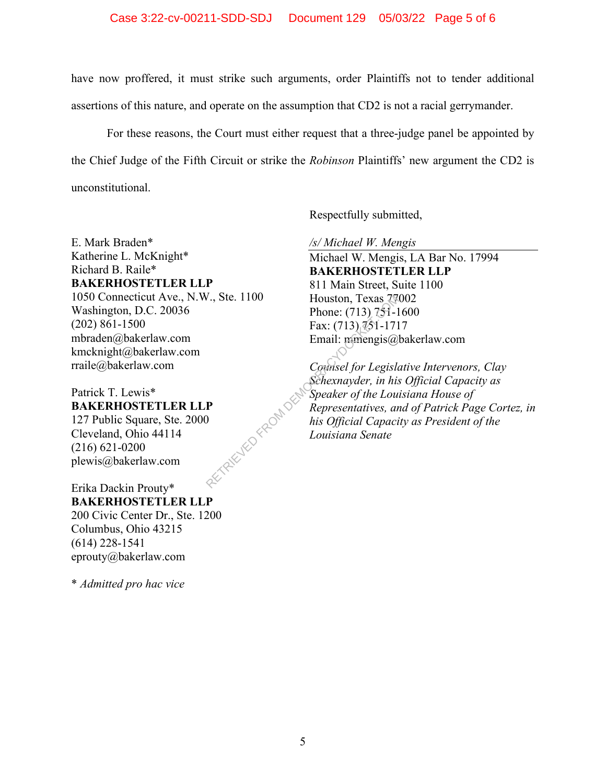### Case 3:22-cv-00211-SDD-SDJ Document 129 05/03/22 Page 5 of 6

have now proffered, it must strike such arguments, order Plaintiffs not to tender additional assertions of this nature, and operate on the assumption that CD2 is not a racial gerrymander.

For these reasons, the Court must either request that a three-judge panel be appointed by the Chief Judge of the Fifth Circuit or strike the *Robinson* Plaintiffs' new argument the CD2 is unconstitutional.

Respectfully submitted,

E. Mark Braden\* Katherine L. McKnight\* Richard B. Raile\* **BAKERHOSTETLER LLP**  1050 Connecticut Ave., N.W., Ste. 1100 Washington, D.C. 20036 (202) 861-1500 mbraden@bakerlaw.com kmcknight@bakerlaw.com rraile@bakerlaw.com

# Patrick T. Lewis\* **BAKERHOSTETLER LLP**  ETALLY PERDAND

127 Public Square, Ste. 2000 Cleveland, Ohio 44114 (216) 621-0200 plewis@bakerlaw.com

# Erika Dackin Prouty\* **BAKERHOSTETLER LLP**

200 Civic Center Dr., Ste. 1200 Columbus, Ohio 43215 (614) 228-1541 eprouty@bakerlaw.com

\* *Admitted pro hac vice* 

*/s/ Michael W. Mengis* 

Michael W. Mengis, LA Bar No. 17994 **BAKERHOSTETLER LLP**  811 Main Street, Suite 1100 Houston, Texas 77002 Phone: (713) 751-1600 Fax:  $(713)$ ,  $\sqrt[7]{51}$ -1717 Email: mmengis@bakerlaw.com

*Counsel for Legislative Intervenors, Clay Schexnayder, in his Official Capacity as Speaker of the Louisiana House of Representatives, and of Patrick Page Cortez, in his Official Capacity as President of the Louisiana Senate*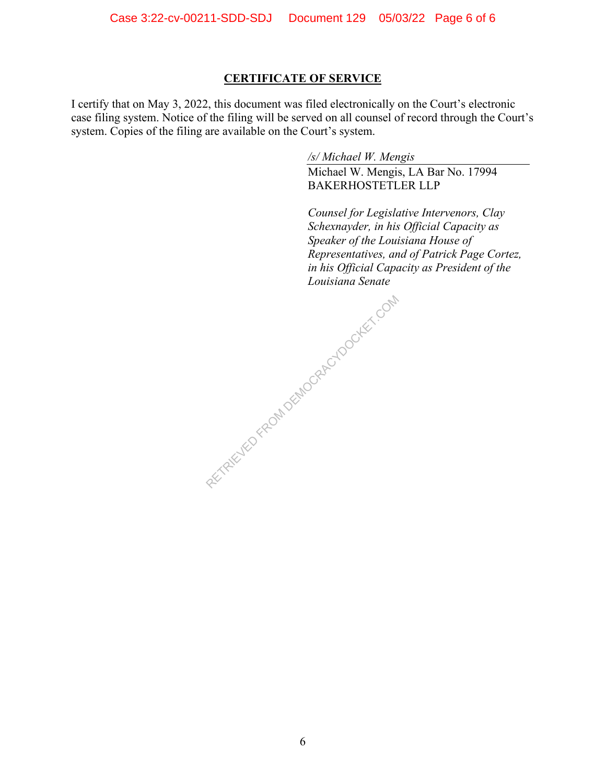### **CERTIFICATE OF SERVICE**

I certify that on May 3, 2022, this document was filed electronically on the Court's electronic case filing system. Notice of the filing will be served on all counsel of record through the Court's system. Copies of the filing are available on the Court's system.

*/s/ Michael W. Mengis* 

Michael W. Mengis, LA Bar No. 17994 BAKERHOSTETLER LLP

*Counsel for Legislative Intervenors, Clay Schexnayder, in his Official Capacity as Speaker of the Louisiana House of Representatives, and of Patrick Page Cortez, in his Official Capacity as President of the Louisiana Senate*

RETRIEVED FROM DEMOCRACYDOCKET.COM